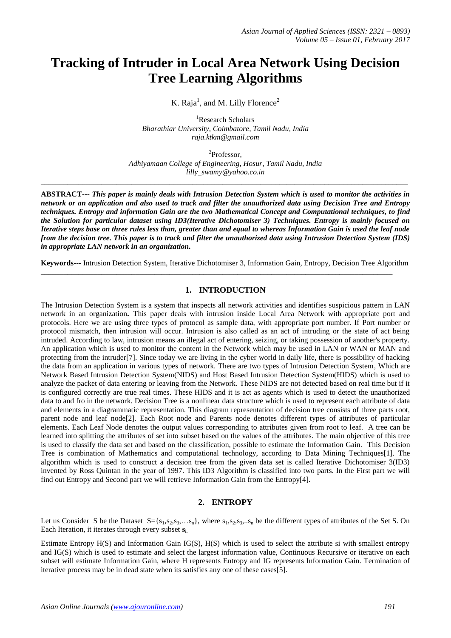# **Tracking of Intruder in Local Area Network Using Decision Tree Learning Algorithms**

K. Raja<sup>1</sup>, and M. Lilly Florence<sup>2</sup>

<sup>1</sup>Research Scholars *Bharathiar University, Coimbatore, Tamil Nadu, India raja.ktkm@gmail.com*

2 Professor, *Adhiyamaan College of Engineering, Hosur, Tamil Nadu, India lilly\_swamy@yahoo.co.in*

**\_\_\_\_\_\_\_\_\_\_\_\_\_\_\_\_\_\_\_\_\_\_\_\_\_\_\_\_\_\_\_\_\_\_\_\_\_\_\_\_\_\_\_\_\_\_\_\_\_\_\_\_\_\_\_\_\_\_\_\_\_\_\_\_\_\_\_\_\_\_\_\_\_\_\_\_\_\_\_\_\_\_\_\_\_\_\_\_\_\_\_\_\_\_\_\_\_**

**ABSTRACT---** *This paper is mainly deals with Intrusion Detection System which is used to monitor the activities in network or an application and also used to track and filter the unauthorized data using Decision Tree and Entropy techniques. Entropy and information Gain are the two Mathematical Concept and Computational techniques, to find the Solution for particular dataset using ID3(Iterative Dichotomiser 3) Techniques. Entropy is mainly focused on Iterative steps base on three rules less than, greater than and equal to whereas Information Gain is used the leaf node from the decision tree. This paper is to track and filter the unauthorized data using Intrusion Detection System (IDS) in appropriate LAN network in an organization.*

**Keywords---** Intrusion Detection System, Iterative Dichotomiser 3, Information Gain, Entropy, Decision Tree Algorithm

\_\_\_\_\_\_\_\_\_\_\_\_\_\_\_\_\_\_\_\_\_\_\_\_\_\_\_\_\_\_\_\_\_\_\_\_\_\_\_\_\_\_\_\_\_\_\_\_\_\_\_\_\_\_\_\_\_\_\_\_\_\_\_\_\_\_\_\_\_\_\_\_\_\_\_\_\_\_\_\_\_\_\_\_\_\_\_\_\_\_\_\_\_

#### **1. INTRODUCTION**

The Intrusion Detection System is a system that inspects all network activities and identifies suspicious pattern in LAN network in an organization**.** This paper deals with intrusion inside Local Area Network with appropriate port and protocols. Here we are using three types of protocol as sample data, with appropriate port number. If Port number or protocol mismatch, then intrusion will occur. Intrusion is also called as an act of intruding or the state of act being intruded. According to law, intrusion means an illegal act of entering, seizing, or taking possession of another's property. An application which is used to monitor the content in the Network which may be used in LAN or WAN or MAN and protecting from the intruder[7]. Since today we are living in the cyber world in daily life, there is possibility of hacking the data from an application in various types of network. There are two types of Intrusion Detection System, Which are Network Based Intrusion Detection System(NIDS) and Host Based Intrusion Detection System(HIDS) which is used to analyze the packet of data entering or leaving from the Network. These NIDS are not detected based on real time but if it is configured correctly are true real times. These HIDS and it is act as agents which is used to detect the unauthorized data to and fro in the network. Decision Tree is a nonlinear data structure which is used to represent each attribute of data and elements in a diagrammatic representation. This diagram representation of decision tree consists of three parts root, parent node and leaf node[2]. Each Root node and Parents node denotes different types of attributes of particular elements. Each Leaf Node denotes the output values corresponding to attributes given from root to leaf. A tree can be learned into splitting the attributes of set into subset based on the values of the attributes. The main objective of this tree is used to classify the data set and based on the classification, possible to estimate the Information Gain. This Decision Tree is combination of Mathematics and computational technology, according to Data Mining Techniques[1]. The algorithm which is used to construct a decision tree from the given data set is called Iterative Dichotomiser 3(ID3) invented by Ross Quintan in the year of 1997. This ID3 Algorithm is classified into two parts. In the First part we will find out Entropy and Second part we will retrieve Information Gain from the Entropy[4].

#### **2. ENTROPY**

Let us Consider S be the Dataset  $S = \{s_1, s_2, s_3, \ldots, s_n\}$ , where  $s_1, s_2, s_3, \ldots, s_n$  be the different types of attributes of the Set S. On Each Iteration, it iterates through every subset **si.** 

Estimate Entropy H(S) and Information Gain IG(S), H(S) which is used to select the attribute si with smallest entropy and IG(S) which is used to estimate and select the largest information value, Continuous Recursive or iterative on each subset will estimate Information Gain, where H represents Entropy and IG represents Information Gain. Termination of iterative process may be in dead state when its satisfies any one of these cases[5].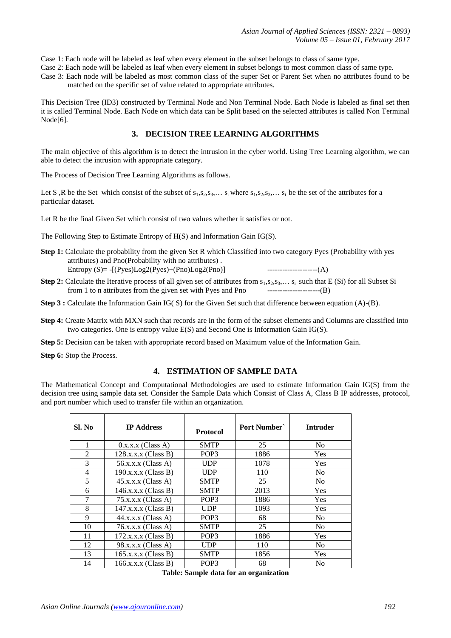Case 1: Each node will be labeled as leaf when every element in the subset belongs to class of same type.

- Case 2: Each node will be labeled as leaf when every element in subset belongs to most common class of same type.
- Case 3: Each node will be labeled as most common class of the super Set or Parent Set when no attributes found to be matched on the specific set of value related to appropriate attributes.

This Decision Tree (ID3) constructed by Terminal Node and Non Terminal Node. Each Node is labeled as final set then it is called Terminal Node. Each Node on which data can be Split based on the selected attributes is called Non Terminal Node[6].

## **3. DECISION TREE LEARNING ALGORITHMS**

The main objective of this algorithm is to detect the intrusion in the cyber world. Using Tree Learning algorithm, we can able to detect the intrusion with appropriate category.

The Process of Decision Tree Learning Algorithms as follows.

Let S, R be the Set which consist of the subset of  $s_1, s_2, s_3, \ldots s_i$  where  $s_1, s_2, s_3, \ldots s_i$  be the set of the attributes for a particular dataset.

Let R be the final Given Set which consist of two values whether it satisfies or not.

The Following Step to Estimate Entropy of H(S) and Information Gain IG(S).

- **Step 1:** Calculate the probability from the given Set R which Classified into two category Pyes (Probability with yes attributes) and Pno(Probability with no attributes) . Entropy (S)= -[(Pyes)Log2(Pyes)+(Pno)Log2(Pno)] --------------------(A)
- **Step 2:** Calculate the Iterative process of all given set of attributes from  $s_1, s_2, s_3, \ldots s_i$  such that E (Si) for all Subset Si from 1 to n attributes from the given set with Pyes and Pno ---------------------(B)
- **Step 3 :** Calculate the Information Gain IG( S) for the Given Set such that difference between equation (A)-(B).
- **Step 4:** Create Matrix with MXN such that records are in the form of the subset elements and Columns are classified into two categories. One is entropy value E(S) and Second One is Information Gain IG(S).
- **Step 5:** Decision can be taken with appropriate record based on Maximum value of the Information Gain.
- **Step 6:** Stop the Process.

## **4. ESTIMATION OF SAMPLE DATA**

The Mathematical Concept and Computational Methodologies are used to estimate Information Gain IG(S) from the decision tree using sample data set. Consider the Sample Data which Consist of Class A, Class B IP addresses, protocol, and port number which used to transfer file within an organization.

| Sl. No | <b>IP</b> Address     | <b>Protocol</b>  | Port Number | <b>Intruder</b> |
|--------|-----------------------|------------------|-------------|-----------------|
| 1      | $0.x.x.x$ (Class A)   | <b>SMTP</b>      | 25          | N <sub>0</sub>  |
| 2      | $128.x.x.x$ (Class B) | POP <sub>3</sub> | 1886        | <b>Yes</b>      |
| 3      | 56.x.x.x (Class A)    | <b>UDP</b>       | 1078        | Yes             |
| 4      | $190.x.x.x$ (Class B) | <b>UDP</b>       | 110         | N <sub>o</sub>  |
| 5      | $45.x.x.x$ (Class A)  | <b>SMTP</b>      | 25          | N <sub>0</sub>  |
| 6      | 146.x.x.x (Class B)   | <b>SMTP</b>      | 2013        | <b>Yes</b>      |
| 7      | $75.x.x.x$ (Class A)  | POP <sub>3</sub> | 1886        | <b>Yes</b>      |
| 8      | $147.x.x.x$ (Class B) | <b>UDP</b>       | 1093        | Yes             |
| 9      | $44.x.x.x$ (Class A)  | POP3             | 68          | N <sub>o</sub>  |
| 10     | $76.x.x.x$ (Class A)  | <b>SMTP</b>      | 25          | N <sub>0</sub>  |
| 11     | $172.x.x.x$ (Class B) | POP <sub>3</sub> | 1886        | <b>Yes</b>      |
| 12     | 98.x.x.x (Class A)    | <b>UDP</b>       | 110         | N <sub>o</sub>  |
| 13     | $165.x.x.x$ (Class B) | <b>SMTP</b>      | 1856        | Yes             |
| 14     | $166.x.x.x$ (Class B) | POP3             | 68          | N <sub>0</sub>  |

|  |  |  |  |  | Table: Sample data for an organization |
|--|--|--|--|--|----------------------------------------|
|--|--|--|--|--|----------------------------------------|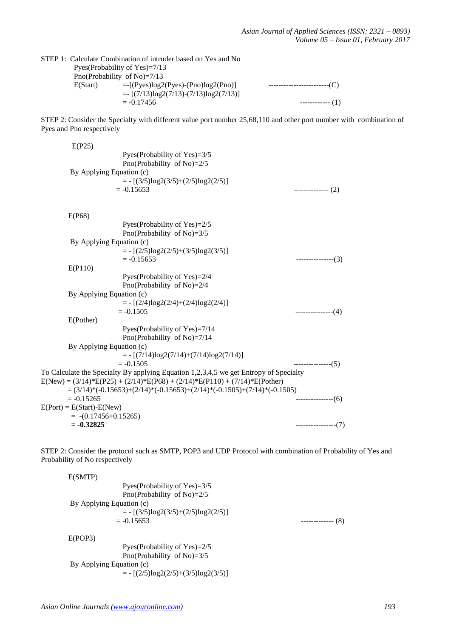#### STEP 1: Calculate Combination of intruder based on Yes and No Pyes(Probability of Yes)=7/13 Pno(Probability of No)=7/13 E(Start) =-[(Pyes)log2(Pyes)-(Pno)log2(Pno)] ------------------------(C)  $=$   $[(7/13)\log(27/13)-(7/13)\log(27/13)]$ <br>= -0.17456  $------(1)$

STEP 2: Consider the Specialty with different value port number 25,68,110 and other port number with combination of Pyes and Pno respectively

| E(P25)                                                                                                                                                                |                      |
|-----------------------------------------------------------------------------------------------------------------------------------------------------------------------|----------------------|
| Pyes(Probability of Yes)=3/5                                                                                                                                          |                      |
| Pno(Probability of No)=2/5                                                                                                                                            |                      |
| By Applying Equation (c)                                                                                                                                              |                      |
| $= - [(3/5)log2(3/5)+(2/5)log2(2/5)]$                                                                                                                                 |                      |
| $= -0.15653$                                                                                                                                                          | $------(2)$          |
| E(P68)                                                                                                                                                                |                      |
| Pyes(Probability of Yes)=2/5                                                                                                                                          |                      |
| Pno(Probability of No)= $3/5$                                                                                                                                         |                      |
| By Applying Equation (c)                                                                                                                                              |                      |
| $= - [(2/5)log2(2/5)+(3/5)log2(3/5)]$                                                                                                                                 |                      |
| $= -0.15653$                                                                                                                                                          | ---------------(3)   |
| E(P110)                                                                                                                                                               |                      |
| Pyes(Probability of Yes)=2/4                                                                                                                                          |                      |
| Pno(Probability of No)=2/4                                                                                                                                            |                      |
| By Applying Equation (c)                                                                                                                                              |                      |
| $= - [(2/4)log2(2/4)+(2/4)log2(2/4)]$                                                                                                                                 |                      |
| $= -0.1505$                                                                                                                                                           | $------(4)$          |
| E(Pother)                                                                                                                                                             |                      |
| Pyes(Probability of Yes)=7/14                                                                                                                                         |                      |
| Pno(Probability of No)=7/14                                                                                                                                           |                      |
| By Applying Equation (c)                                                                                                                                              |                      |
| $= - [(7/14)log2(7/14)+(7/14)log2(7/14)]$                                                                                                                             |                      |
| $= -0.1505$                                                                                                                                                           | --------------(5)    |
| To Calculate the Specialty By applying Equation 1,2,3,4,5 we get Entropy of Specialty<br>$E(New) = (3/14)*E(P25) + (2/14)*E(P68) + (2/14)*E(P110) + (7/14)*E(Pother)$ |                      |
| $=(3/14)*(-0.15653)+(2/14)*(-0.15653)+(2/14)*(-0.1505)+(7/14)*(-0.1505)$                                                                                              |                      |
| $= -0.15265$                                                                                                                                                          | --------------(6)    |
| $E(Port) = E(Start) - E(New)$                                                                                                                                         |                      |
| $= -(0.17456 + 0.15265)$                                                                                                                                              |                      |
| $= -0.32825$                                                                                                                                                          | -----------------(7) |

STEP 2: Consider the protocol such as SMTP, POP3 and UDP Protocol with combination of Probability of Yes and Probability of No respectively

| E(SMTP) |                                       |                   |
|---------|---------------------------------------|-------------------|
|         | Pyes (Probability of Yes)= $3/5$      |                   |
|         | Pno(Probability of No) $=2/5$         |                   |
|         | By Applying Equation (c)              |                   |
|         | $= - [(3/5)log2(3/5)+(2/5)log2(2/5)]$ |                   |
|         | $= -0.15653$                          | (8)<br>---------- |
| E(POP3) |                                       |                   |
|         | Pyes (Probability of Yes) $=2/5$      |                   |
|         | Pno(Probability of No)= $3/5$         |                   |
|         | By Applying Equation (c)              |                   |
|         | $= - [(2/5)log2(2/5)+(3/5)log2(3/5)]$ |                   |
|         |                                       |                   |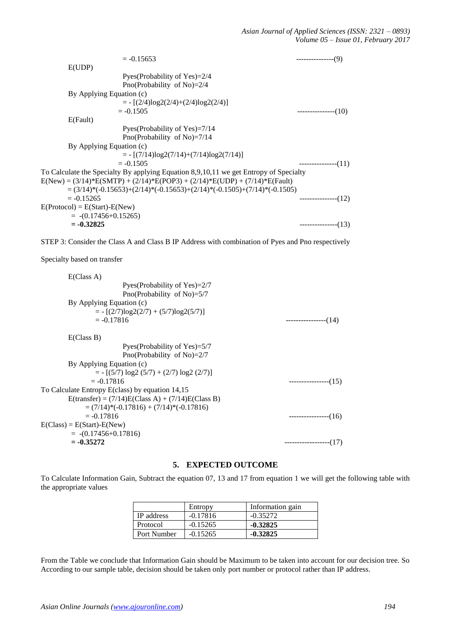| $= -0.15653$                                                                          | $------(9)$         |
|---------------------------------------------------------------------------------------|---------------------|
| E(UDP)                                                                                |                     |
| Pyes (Probability of Yes) $=2/4$                                                      |                     |
| Pno(Probability of No)= $2/4$                                                         |                     |
| By Applying Equation (c)                                                              |                     |
| $= - [(2/4)log2(2/4)+(2/4)log2(2/4)]$                                                 |                     |
| $= -0.1505$                                                                           | ---------------(10) |
| E(Fault)                                                                              |                     |
| Pyes (Probability of Yes) $=7/14$                                                     |                     |
| Pno(Probability of No)= $7/14$                                                        |                     |
| By Applying Equation (c)                                                              |                     |
| $= - [(7/14)log2(7/14)+(7/14)log2(7/14)]$                                             |                     |
| $= -0.1505$                                                                           | --------------(11)  |
| To Calculate the Specialty By applying Equation 8,9,10,11 we get Entropy of Specialty |                     |
| $E(New) = (3/14)*E(SMTP) + (2/14)*E(POP3) + (2/14)*E(UDP) + (7/14)*E(Fault)$          |                     |
| $=(3/14)*(-0.15653)+(2/14)*(-0.15653)+(2/14)*(-0.1505)+(7/14)*(-0.1505)$              |                     |
| $= -0.15265$                                                                          | --------------(12)  |
| $E(Protocol) = E(Start) - E(New)$                                                     |                     |
| $= -(0.17456 + 0.15265)$                                                              |                     |
| $= -0.32825$                                                                          | $------(13)$        |

STEP 3: Consider the Class A and Class B IP Address with combination of Pyes and Pno respectively

Specialty based on transfer

| E(Class A)                                          |                            |
|-----------------------------------------------------|----------------------------|
| Pyes (Probability of Yes) $=2/7$                    |                            |
| Pno(Probability of No)= $5/7$                       |                            |
| By Applying Equation (c)                            |                            |
| $= - [(2/7) \log(2(2/7) + (5/7) \log(2(5/7))]$      |                            |
| $= -0.17816$                                        | $---------(14)$            |
| E(Class B)                                          |                            |
| Pyes (Probability of Yes)= $5/7$                    |                            |
| Pno(Probability of No)= $2/7$                       |                            |
| By Applying Equation (c)                            |                            |
| $= - [(5/7) \log 2 (5/7) + (2/7) \log 2 (2/7)]$     |                            |
| $= -0.17816$                                        | ----------------(15)       |
| To Calculate Entropy E(class) by equation 14,15     |                            |
| $E(transfer) = (7/14)E(Class A) + (7/14)E(Class B)$ |                            |
| $=(7/14)*(-0.17816) + (7/14)*(-0.17816)$            |                            |
| $= -0.17816$                                        | $------(16)$               |
| $E(Class) = E(Start) - E(New)$                      |                            |
| $= -(0.17456 + 0.17816)$                            |                            |
| $= -0.35272$                                        | --(17)<br>---------------- |
|                                                     |                            |

## **5. EXPECTED OUTCOME**

To Calculate Information Gain, Subtract the equation 07, 13 and 17 from equation 1 we will get the following table with the appropriate values

|                   | Entropy    | Information gain |
|-------------------|------------|------------------|
| <b>IP</b> address | $-0.17816$ | $-0.35272$       |
| Protocol          | $-0.15265$ | $-0.32825$       |
| Port Number       | $-0.15265$ | $-0.32825$       |

From the Table we conclude that Information Gain should be Maximum to be taken into account for our decision tree. So According to our sample table, decision should be taken only port number or protocol rather than IP address.